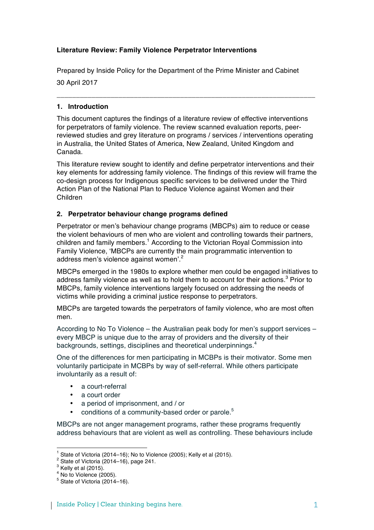# **Literature Review: Family Violence Perpetrator Interventions**

Prepared by Inside Policy for the Department of the Prime Minister and Cabinet

30 April 2017

# **1. Introduction**

This document captures the findings of a literature review of effective interventions for perpetrators of family violence. The review scanned evaluation reports, peerreviewed studies and grey literature on programs / services / interventions operating in Australia, the United States of America, New Zealand, United Kingdom and Canada.

**\_\_\_\_\_\_\_\_\_\_\_\_\_\_\_\_\_\_\_\_\_\_\_\_\_\_\_\_\_\_\_\_\_\_\_\_\_\_\_\_\_\_\_\_\_\_\_\_\_\_\_\_\_\_\_\_\_\_\_\_\_\_\_\_\_\_\_**

This literature review sought to identify and define perpetrator interventions and their key elements for addressing family violence. The findings of this review will frame the co-design process for Indigenous specific services to be delivered under the Third Action Plan of the National Plan to Reduce Violence against Women and their Children

# **2. Perpetrator behaviour change programs defined**

Perpetrator or men's behaviour change programs (MBCPs) aim to reduce or cease the violent behaviours of men who are violent and controlling towards their partners, children and family members.<sup>1</sup> According to the Victorian Royal Commission into Family Violence, 'MBCPs are currently the main programmatic intervention to address men's violence against women'.<sup>2</sup>

MBCPs emerged in the 1980s to explore whether men could be engaged initiatives to address family violence as well as to hold them to account for their actions.<sup>3</sup> Prior to MBCPs, family violence interventions largely focused on addressing the needs of victims while providing a criminal justice response to perpetrators.

MBCPs are targeted towards the perpetrators of family violence, who are most often men.

According to No To Violence – the Australian peak body for men's support services – every MBCP is unique due to the array of providers and the diversity of their backgrounds, settings, disciplines and theoretical underpinnings.<sup>4</sup>

One of the differences for men participating in MCBPs is their motivator. Some men voluntarily participate in MCBPs by way of self-referral. While others participate involuntarily as a result of:

- a court-referral
- a court order
- a period of imprisonment, and / or
- conditions of a community-based order or parole.5

MBCPs are not anger management programs, rather these programs frequently address behaviours that are violent as well as controlling. These behaviours include

<sup>&</sup>lt;sup>1</sup> State of Victoria (2014–16); No to Violence (2005); Kelly et al (2015).<br><sup>2</sup> State of Victoria (2014–16), page 241.<br><sup>3</sup> Kelly et al (2015).

 $4$  No to Violence (2005).

 $5$  State of Victoria (2014–16).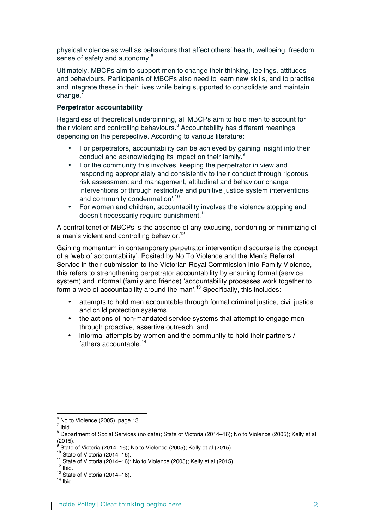physical violence as well as behaviours that affect others' health, wellbeing, freedom, sense of safety and autonomy.<sup>6</sup>

Ultimately, MBCPs aim to support men to change their thinking, feelings, attitudes and behaviours. Participants of MBCPs also need to learn new skills, and to practise and integrate these in their lives while being supported to consolidate and maintain  $chance.<sup>7</sup>$ 

### **Perpetrator accountability**

Regardless of theoretical underpinning, all MBCPs aim to hold men to account for their violent and controlling behaviours.<sup>8</sup> Accountability has different meanings depending on the perspective. According to various literature:

- For perpetrators, accountability can be achieved by gaining insight into their conduct and acknowledging its impact on their family.<sup>9</sup>
- For the community this involves 'keeping the perpetrator in view and responding appropriately and consistently to their conduct through rigorous risk assessment and management, attitudinal and behaviour change interventions or through restrictive and punitive justice system interventions and community condemnation'.<sup>10</sup>
- For women and children, accountability involves the violence stopping and doesn't necessarily require punishment.<sup>11</sup>

A central tenet of MBCPs is the absence of any excusing, condoning or minimizing of a man's violent and controlling behavior.<sup>12</sup>

Gaining momentum in contemporary perpetrator intervention discourse is the concept of a 'web of accountability'. Posited by No To Violence and the Men's Referral Service in their submission to the Victorian Royal Commission into Family Violence, this refers to strengthening perpetrator accountability by ensuring formal (service system) and informal (family and friends) 'accountability processes work together to form a web of accountability around the man'.<sup>13</sup> Specifically, this includes:

- attempts to hold men accountable through formal criminal justice, civil justice and child protection systems
- the actions of non-mandated service systems that attempt to engage men through proactive, assertive outreach, and
- informal attempts by women and the community to hold their partners / fathers accountable.<sup>14</sup>

  $^6$  No to Violence (2005), page 13.

 $7$  Ibid.

<sup>8</sup> Department of Social Services (no date); State of Victoria (2014–16); No to Violence (2005); Kelly et al (2015).

<sup>&</sup>lt;sup>9</sup> State of Victoria (2014–16); No to Violence (2005); Kelly et al (2015).<br><sup>10</sup> State of Victoria (2014–16).<br><sup>11</sup> State of Victoria (2014–16); No to Violence (2005); Kelly et al (2015).<br><sup>12</sup> Ibid.<br><sup>13</sup> State of Victoria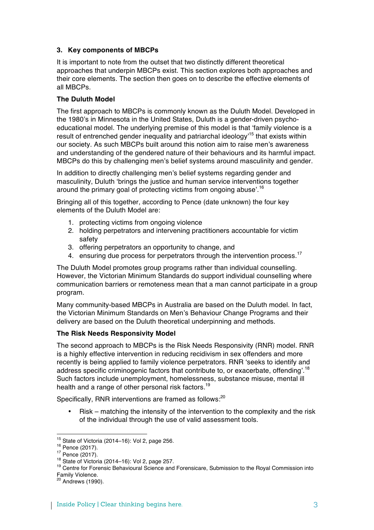# **3. Key components of MBCPs**

It is important to note from the outset that two distinctly different theoretical approaches that underpin MBCPs exist. This section explores both approaches and their core elements. The section then goes on to describe the effective elements of all MBCPs.

# **The Duluth Model**

The first approach to MBCPs is commonly known as the Duluth Model. Developed in the 1980's in Minnesota in the United States, Duluth is a gender-driven psychoeducational model. The underlying premise of this model is that 'family violence is a result of entrenched gender inequality and patriarchal ideology<sup>15</sup> that exists within our society. As such MBCPs built around this notion aim to raise men's awareness and understanding of the gendered nature of their behaviours and its harmful impact. MBCPs do this by challenging men's belief systems around masculinity and gender.

In addition to directly challenging men's belief systems regarding gender and masculinity, Duluth 'brings the justice and human service interventions together around the primary goal of protecting victims from ongoing abuse'.<sup>16</sup>

Bringing all of this together, according to Pence (date unknown) the four key elements of the Duluth Model are:

- 1. protecting victims from ongoing violence
- 2. holding perpetrators and intervening practitioners accountable for victim safety
- 3. offering perpetrators an opportunity to change, and
- 4. ensuring due process for perpetrators through the intervention process.<sup>17</sup>

The Duluth Model promotes group programs rather than individual counselling. However, the Victorian Minimum Standards do support individual counselling where communication barriers or remoteness mean that a man cannot participate in a group program.

Many community-based MBCPs in Australia are based on the Duluth model. In fact, the Victorian Minimum Standards on Men's Behaviour Change Programs and their delivery are based on the Duluth theoretical underpinning and methods.

# **The Risk Needs Responsivity Model**

The second approach to MBCPs is the Risk Needs Responsivity (RNR) model. RNR is a highly effective intervention in reducing recidivism in sex offenders and more recently is being applied to family violence perpetrators. RNR 'seeks to identify and address specific criminogenic factors that contribute to, or exacerbate, offending'.<sup>18</sup> Such factors include unemployment, homelessness, substance misuse, mental ill health and a range of other personal risk factors.<sup>19</sup>

Specifically, RNR interventions are framed as follows:<sup>20</sup>

• Risk – matching the intensity of the intervention to the complexity and the risk of the individual through the use of valid assessment tools.

<sup>&</sup>lt;sup>15</sup> State of Victoria (2014–16): Vol 2, page 256.<br><sup>16</sup> Pence (2017).<br><sup>17</sup> Pence (2017).<br><sup>18</sup> State of Victoria (2014–16): Vol 2, page 257.<br><sup>18</sup> Centre for Forensic Behavioural Science and Forensicare, Submission to the R Family Violence.

<sup>20</sup> Andrews (1990).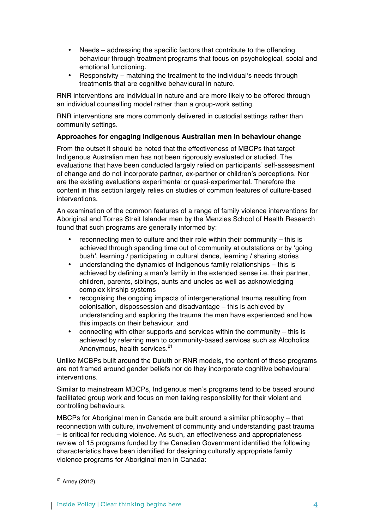- Needs addressing the specific factors that contribute to the offending behaviour through treatment programs that focus on psychological, social and emotional functioning.
- Responsivity matching the treatment to the individual's needs through treatments that are cognitive behavioural in nature.

RNR interventions are individual in nature and are more likely to be offered through an individual counselling model rather than a group-work setting.

RNR interventions are more commonly delivered in custodial settings rather than community settings.

# **Approaches for engaging Indigenous Australian men in behaviour change**

From the outset it should be noted that the effectiveness of MBCPs that target Indigenous Australian men has not been rigorously evaluated or studied. The evaluations that have been conducted largely relied on participants' self-assessment of change and do not incorporate partner, ex-partner or children's perceptions. Nor are the existing evaluations experimental or quasi-experimental. Therefore the content in this section largely relies on studies of common features of culture-based interventions.

An examination of the common features of a range of family violence interventions for Aboriginal and Torres Strait Islander men by the Menzies School of Health Research found that such programs are generally informed by:

- reconnecting men to culture and their role within their community this is achieved through spending time out of community at outstations or by 'going bush', learning / participating in cultural dance, learning / sharing stories
- understanding the dynamics of Indigenous family relationships this is achieved by defining a man's family in the extended sense i.e. their partner, children, parents, siblings, aunts and uncles as well as acknowledging complex kinship systems
- recognising the ongoing impacts of intergenerational trauma resulting from colonisation, dispossession and disadvantage – this is achieved by understanding and exploring the trauma the men have experienced and how this impacts on their behaviour, and
- connecting with other supports and services within the community this is achieved by referring men to community-based services such as Alcoholics Anonymous, health services.<sup>21</sup>

Unlike MCBPs built around the Duluth or RNR models, the content of these programs are not framed around gender beliefs nor do they incorporate cognitive behavioural interventions.

Similar to mainstream MBCPs, Indigenous men's programs tend to be based around facilitated group work and focus on men taking responsibility for their violent and controlling behaviours.

MBCPs for Aboriginal men in Canada are built around a similar philosophy – that reconnection with culture, involvement of community and understanding past trauma – is critical for reducing violence. As such, an effectiveness and appropriateness review of 15 programs funded by the Canadian Government identified the following characteristics have been identified for designing culturally appropriate family violence programs for Aboriginal men in Canada:

 $21$  Arney (2012).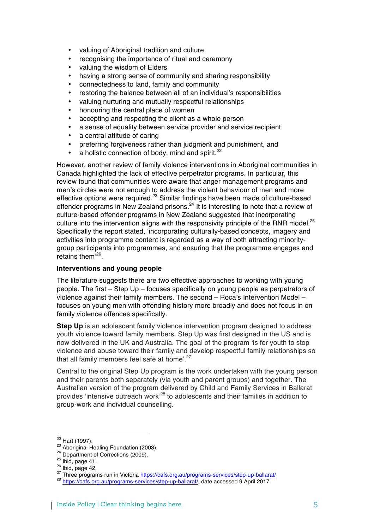- valuing of Aboriginal tradition and culture
- recognising the importance of ritual and ceremony
- valuing the wisdom of Elders
- having a strong sense of community and sharing responsibility
- connectedness to land, family and community
- restoring the balance between all of an individual's responsibilities
- valuing nurturing and mutually respectful relationships
- honouring the central place of women
- accepting and respecting the client as a whole person
- a sense of equality between service provider and service recipient
- a central attitude of caring
- preferring forgiveness rather than judgment and punishment, and
- a holistic connection of body, mind and spirit.<sup>22</sup>

However, another review of family violence interventions in Aboriginal communities in Canada highlighted the lack of effective perpetrator programs. In particular, this review found that communities were aware that anger management programs and men's circles were not enough to address the violent behaviour of men and more effective options were required.23 Similar findings have been made of culture-based offender programs in New Zealand prisons.<sup>24</sup> It is interesting to note that a review of culture-based offender programs in New Zealand suggested that incorporating culture into the intervention aligns with the responsivity principle of the RNR model. $^{25}$ Specifically the report stated, 'incorporating culturally-based concepts, imagery and activities into programme content is regarded as a way of both attracting minoritygroup participants into programmes, and ensuring that the programme engages and retains them' 26.

# **Interventions and young people**

The literature suggests there are two effective approaches to working with young people. The first – Step Up – focuses specifically on young people as perpetrators of violence against their family members. The second – Roca's Intervention Model – focuses on young men with offending history more broadly and does not focus in on family violence offences specifically.

**Step Up** is an adolescent family violence intervention program designed to address youth violence toward family members. Step Up was first designed in the US and is now delivered in the UK and Australia. The goal of the program 'is for youth to stop violence and abuse toward their family and develop respectful family relationships so that all family members feel safe at home'.<sup>27</sup>

Central to the original Step Up program is the work undertaken with the young person and their parents both separately (via youth and parent groups) and together. The Australian version of the program delivered by Child and Family Services in Ballarat provides 'intensive outreach work'<sup>28</sup> to adolescents and their families in addition to group-work and individual counselling.

<sup>&</sup>lt;sup>22</sup> Hart (1997).<br><sup>23</sup> Aboriginal Healing Foundation (2003).<br><sup>24</sup> Department of Corrections (2009).<br><sup>25</sup> Ibid, page 41.<br><sup>26</sup> Ibid, page 42.<br><sup>27</sup> Three programs run in Victoria https://cafs.org.au/programs-services/step-up-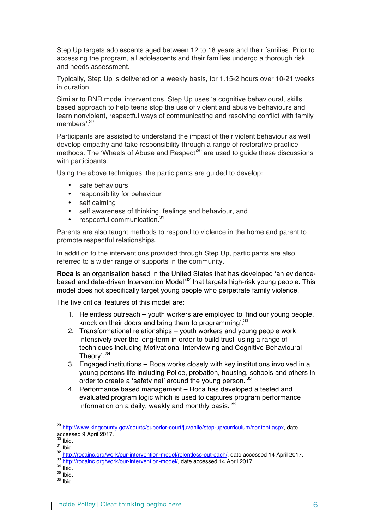Step Up targets adolescents aged between 12 to 18 years and their families. Prior to accessing the program, all adolescents and their families undergo a thorough risk and needs assessment.

Typically, Step Up is delivered on a weekly basis, for 1.15-2 hours over 10-21 weeks in duration.

Similar to RNR model interventions, Step Up uses 'a cognitive behavioural, skills based approach to help teens stop the use of violent and abusive behaviours and learn nonviolent, respectful ways of communicating and resolving conflict with family members'.<sup>29</sup>

Participants are assisted to understand the impact of their violent behaviour as well develop empathy and take responsibility through a range of restorative practice methods. The 'Wheels of Abuse and Respect<sup>30</sup> are used to quide these discussions with participants.

Using the above techniques, the participants are guided to develop:

- safe behaviours
- responsibility for behaviour
- self calming
- self awareness of thinking, feelings and behaviour, and
- respectful communication.<sup>31</sup>

Parents are also taught methods to respond to violence in the home and parent to promote respectful relationships.

In addition to the interventions provided through Step Up, participants are also referred to a wider range of supports in the community.

**Roca** is an organisation based in the United States that has developed 'an evidencebased and data-driven Intervention Model<sup>32</sup> that targets high-risk young people. This model does not specifically target young people who perpetrate family violence.

The five critical features of this model are:

- 1. Relentless outreach youth workers are employed to 'find our young people, knock on their doors and bring them to programming'.<sup>33</sup>
- 2. Transformational relationships youth workers and young people work intensively over the long-term in order to build trust 'using a range of techniques including Motivational Interviewing and Cognitive Behavioural Theory'. <sup>34</sup>
- 3. Engaged institutions Roca works closely with key institutions involved in a young persons life including Police, probation, housing, schools and others in order to create a 'safety net' around the young person.<sup>35</sup>
- 4. Performance based management Roca has developed a tested and evaluated program logic which is used to captures program performance information on a daily, weekly and monthly basis.<sup>36</sup>

- 
- 

 

<sup>29</sup> http://www.kingcounty.gov/courts/superior-court/juvenile/step-up/curriculum/content.aspx, date accessed 9 April 2017.

<sup>&</sup>lt;sup>31</sup> lbid.<br><sup>32</sup> http://rocainc.org/work/our-intervention-model/relentless-outreach/, date accessed 14 April 2017.<br><sup>32</sup> http://rocainc.org/work/our-intervention-model/, date accessed 14 April 2017.<br><sup>34</sup> lbid.<br><sup>35</sup> lbid.<br><sup>35</sup>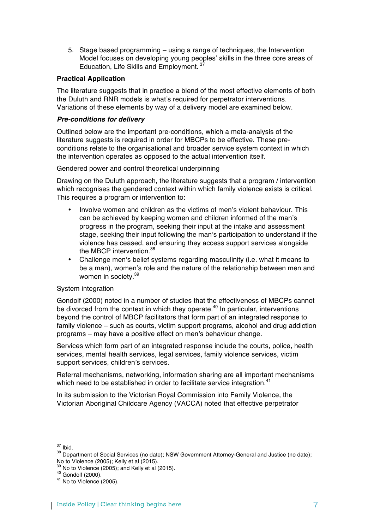5. Stage based programming – using a range of techniques, the Intervention Model focuses on developing young peoples' skills in the three core areas of Education, Life Skills and Employment. <sup>37</sup>

# **Practical Application**

The literature suggests that in practice a blend of the most effective elements of both the Duluth and RNR models is what's required for perpetrator interventions. Variations of these elements by way of a delivery model are examined below.

### *Pre-conditions for delivery*

Outlined below are the important pre-conditions, which a meta-analysis of the literature suggests is required in order for MBCPs to be effective. These preconditions relate to the organisational and broader service system context in which the intervention operates as opposed to the actual intervention itself.

#### Gendered power and control theoretical underpinning

Drawing on the Duluth approach, the literature suggests that a program / intervention which recognises the gendered context within which family violence exists is critical. This requires a program or intervention to:

- Involve women and children as the victims of men's violent behaviour. This can be achieved by keeping women and children informed of the man's progress in the program, seeking their input at the intake and assessment stage, seeking their input following the man's participation to understand if the violence has ceased, and ensuring they access support services alongside the MBCP intervention.<sup>38</sup>
- Challenge men's belief systems regarding masculinity (i.e. what it means to be a man), women's role and the nature of the relationship between men and women in society.<sup>39</sup>

# System integration

Gondolf (2000) noted in a number of studies that the effectiveness of MBCPs cannot be divorced from the context in which they operate.<sup>40</sup> In particular, interventions beyond the control of MBCP facilitators that form part of an integrated response to family violence – such as courts, victim support programs, alcohol and drug addiction programs – may have a positive effect on men's behaviour change.

Services which form part of an integrated response include the courts, police, health services, mental health services, legal services, family violence services, victim support services, children's services.

Referral mechanisms, networking, information sharing are all important mechanisms which need to be established in order to facilitate service integration.<sup>41</sup>

In its submission to the Victorian Royal Commission into Family Violence, the Victorian Aboriginal Childcare Agency (VACCA) noted that effective perpetrator

 $\frac{37}{38}$  Ibid.<br> $\frac{38}{38}$  Department of Social Services (no date); NSW Government Attorney-General and Justice (no date); No to Violence (2005); Kelly et al (2015).

 $39$  No to Violence (2005); and Kelly et al (2015).<br> $40$  Gondolf (2000).<br> $41$  No to Violence (2005).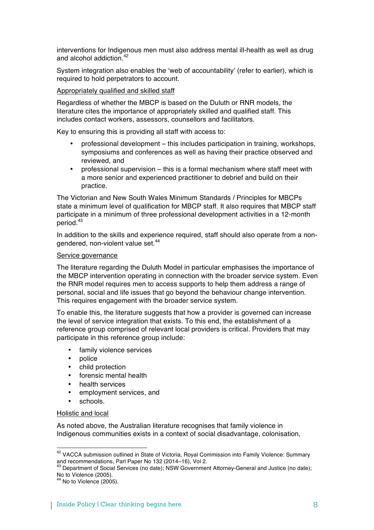interventions for Indigenous men must also address mental ill-health as well as drug and alcohol addiction. 42

System integration also enables the 'web of accountability' (refer to earlier), which is required to hold perpetrators to account.

### Appropriately qualified and skilled staff

Regardless of whether the MBCP is based on the Duluth or RNR models, the literature cites the importance of appropriately skilled and qualified staff. This includes contact workers, assessors, counsellors and facilitators.

Key to ensuring this is providing all staff with access to:

- professional development this includes participation in training, workshops, symposiums and conferences as well as having their practice observed and reviewed, and
- professional supervision this is a formal mechanism where staff meet with a more senior and experienced practitioner to debrief and build on their practice.

The Victorian and New South Wales Minimum Standards / Principles for MBCPs state a minimum level of qualification for MBCP staff. It also requires that MBCP staff participate in a minimum of three professional development activities in a 12-month period. 43

In addition to the skills and experience required, staff should also operate from a nongendered, non-violent value set.<sup>44</sup>

#### Service governance

The literature regarding the Duluth Model in particular emphasises the importance of the MBCP intervention operating in connection with the broader service system. Even the RNR model requires men to access supports to help them address a range of personal, social and life issues that go beyond the behaviour change intervention. This requires engagement with the broader service system.

To enable this, the literature suggests that how a provider is governed can increase the level of service integration that exists. To this end, the establishment of a reference group comprised of relevant local providers is critical. Providers that may participate in this reference group include:

- family violence services
- police
- child protection
- forensic mental health
- health services
- employment services, and
- schools.

#### Holistic and local

As noted above, the Australian literature recognises that family violence in Indigenous communities exists in a context of social disadvantage, colonisation,

 $42$  VACCA submission outlined in State of Victoria, Royal Commission into Family Violence: Summary and recommendations, Parl Paper No 132 (2014–16), Vol 2.

and recommendations, Paper No 132 (2014), Paper No 132 (2014–16), Paper No 132 (2014–16), Paper Indian Separtment of Social Services (no date); No to Violence (2005).<br><sup>44</sup> No to Violence (2005).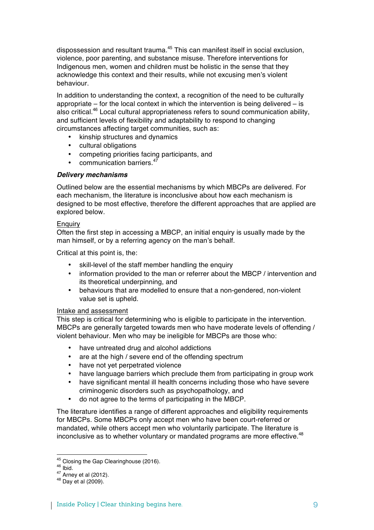dispossession and resultant trauma. <sup>45</sup> This can manifest itself in social exclusion, violence, poor parenting, and substance misuse. Therefore interventions for Indigenous men, women and children must be holistic in the sense that they acknowledge this context and their results, while not excusing men's violent behaviour.

In addition to understanding the context, a recognition of the need to be culturally appropriate – for the local context in which the intervention is being delivered – is also critical.<sup>46</sup> Local cultural appropriateness refers to sound communication ability, and sufficient levels of flexibility and adaptability to respond to changing circumstances affecting target communities, such as:

- kinship structures and dynamics
- cultural obligations
- competing priorities facing participants, and
- communication barriers.<sup>47</sup>

### *Delivery mechanisms*

Outlined below are the essential mechanisms by which MBCPs are delivered. For each mechanism, the literature is inconclusive about how each mechanism is designed to be most effective, therefore the different approaches that are applied are explored below.

#### **Enquiry**

Often the first step in accessing a MBCP, an initial enquiry is usually made by the man himself, or by a referring agency on the man's behalf.

Critical at this point is, the:

- skill-level of the staff member handling the enquiry
- information provided to the man or referrer about the MBCP / intervention and its theoretical underpinning, and
- behaviours that are modelled to ensure that a non-gendered, non-violent value set is upheld.

#### Intake and assessment

This step is critical for determining who is eligible to participate in the intervention. MBCPs are generally targeted towards men who have moderate levels of offending / violent behaviour. Men who may be ineligible for MBCPs are those who:

- have untreated drug and alcohol addictions
- are at the high / severe end of the offending spectrum
- have not yet perpetrated violence
- have language barriers which preclude them from participating in group work
- have significant mental ill health concerns including those who have severe criminogenic disorders such as psychopathology, and
- do not agree to the terms of participating in the MBCP.

The literature identifies a range of different approaches and eligibility requirements for MBCPs. Some MBCPs only accept men who have been court-referred or mandated, while others accept men who voluntarily participate. The literature is inconclusive as to whether voluntary or mandated programs are more effective.<sup>48</sup>

<sup>&</sup>lt;sup>45</sup> Closing the Gap Clearinghouse (2016).<br><sup>46</sup> Ibid.<br><sup>47</sup> Arney et al (2012).<br><sup>48</sup> Day et al (2009).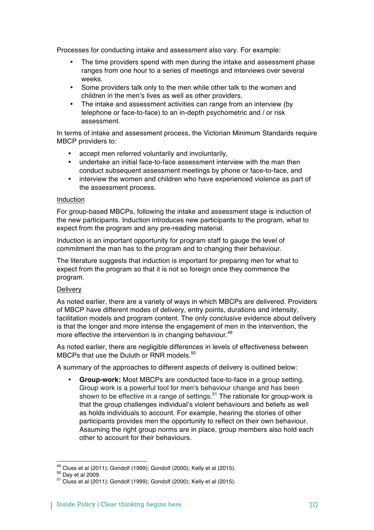Processes for conducting intake and assessment also vary. For example:

- The time providers spend with men during the intake and assessment phase ranges from one hour to a series of meetings and interviews over several weeks.
- Some providers talk only to the men while other talk to the women and children in the men's lives as well as other providers.
- The intake and assessment activities can range from an interview (by telephone or face-to-face) to an in-depth psychometric and / or risk assessment.

In terms of intake and assessment process, the Victorian Minimum Standards require MBCP providers to:

- accept men referred voluntarily and involuntarily,
- undertake an initial face-to-face assessment interview with the man then conduct subsequent assessment meetings by phone or face-to-face, and
- interview the women and children who have experienced violence as part of the assessment process.

#### Induction

For group-based MBCPs, following the intake and assessment stage is induction of the new participants. Induction introduces new participants to the program, what to expect from the program and any pre-reading material.

Induction is an important opportunity for program staff to gauge the level of commitment the man has to the program and to changing their behaviour.

The literature suggests that induction is important for preparing men for what to expect from the program so that it is not so foreign once they commence the program.

#### **Delivery**

As noted earlier, there are a variety of ways in which MBCPs are delivered. Providers of MBCP have different modes of delivery, entry points, durations and intensity, facilitation models and program content. The only conclusive evidence about delivery is that the longer and more intense the engagement of men in the intervention, the more effective the intervention is in changing behaviour.<sup>49</sup>

As noted earlier, there are negligible differences in levels of effectiveness between MBCPs that use the Duluth or RNR models.<sup>50</sup>

A summary of the approaches to different aspects of delivery is outlined below:

• **Group-work:** Most MBCPs are conducted face-to-face in a group setting. Group work is a powerful tool for men's behaviour change and has been shown to be effective in a range of settings.<sup>51</sup> The rationale for group-work is that the group challenges individual's violent behaviours and beliefs as well as holds individuals to account. For example, hearing the stories of other participants provides men the opportunity to reflect on their own behaviour. Assuming the right group norms are in place, group members also hold each other to account for their behaviours.

<sup>&</sup>lt;sup>49</sup> Cluss et al (2011); Gondolf (1999); Gondolf (2000); Kelly et al (2015).<br><sup>50</sup> Day et al 2009.<br><sup>51</sup> Cluss et al (2011); Gondolf (1999); Gondolf (2000); Kelly et al (2015).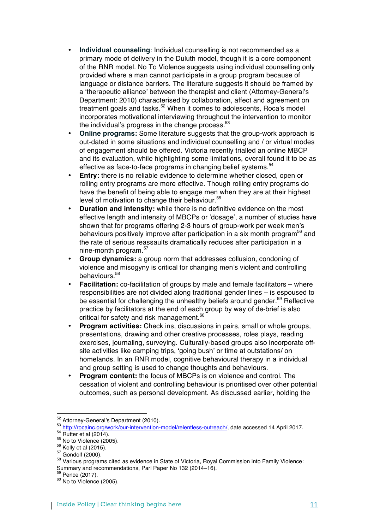- **Individual counseling**: Individual counselling is not recommended as a primary mode of delivery in the Duluth model, though it is a core component of the RNR model. No To Violence suggests using individual counselling only provided where a man cannot participate in a group program because of language or distance barriers. The literature suggests it should be framed by a 'therapeutic alliance' between the therapist and client (Attorney-General's Department: 2010) characterised by collaboration, affect and agreement on treatment goals and tasks.<sup>52</sup> When it comes to adolescents, Roca's model incorporates motivational interviewing throughout the intervention to monitor the individual's progress in the change process. $53$
- **Online programs:** Some literature suggests that the group-work approach is out-dated in some situations and individual counselling and / or virtual modes of engagement should be offered. Victoria recently trialled an online MBCP and its evaluation, while highlighting some limitations, overall found it to be as effective as face-to-face programs in changing belief systems.<sup>54</sup>
- **Entry:** there is no reliable evidence to determine whether closed, open or rolling entry programs are more effective. Though rolling entry programs do have the benefit of being able to engage men when they are at their highest level of motivation to change their behaviour.<sup>55</sup>
- **Duration and intensity:** while there is no definitive evidence on the most effective length and intensity of MBCPs or 'dosage', a number of studies have shown that for programs offering 2-3 hours of group-work per week men's behaviours positively improve after participation in a six month program<sup>56</sup> and the rate of serious reassaults dramatically reduces after participation in a nine-month program.<sup>57</sup>
- **Group dynamics:** a group norm that addresses collusion, condoning of violence and misogyny is critical for changing men's violent and controlling behaviours.<sup>58</sup>
- **Facilitation:** co-facilitation of groups by male and female facilitators where responsibilities are not divided along traditional gender lines – is espoused to be essential for challenging the unhealthy beliefs around gender.<sup>59</sup> Reflective practice by facilitators at the end of each group by way of de-brief is also critical for safety and risk management.<sup>60</sup>
- **Program activities:** Check ins, discussions in pairs, small or whole groups, presentations, drawing and other creative processes, roles plays, reading exercises, journaling, surveying. Culturally-based groups also incorporate offsite activities like camping trips, 'going bush' or time at outstations/ on homelands. In an RNR model, cognitive behavioural therapy in a individual and group setting is used to change thoughts and behaviours.
- **Program content:** the focus of MBCPs is on violence and control. The cessation of violent and controlling behaviour is prioritised over other potential outcomes, such as personal development. As discussed earlier, holding the

<sup>&</sup>lt;sup>52</sup> Attorney-General's Department (2010).

<sup>&</sup>lt;sup>53</sup> http://rocainc.org/work/our-intervention-model/relentless-outreach/, date accessed 14 April 2017.<br>
<sup>54</sup> Rutter et al (2014).<br>
<sup>55</sup> No to Violence (2005).<br>
<sup>56</sup> Kelly et al (2015).<br>
<sup>57</sup> Gondolf (2000).<br>
<sup>57</sup> Gondolf

Summary and recommendations, Parl Paper No 132 (2014–16).<br><sup>59</sup> Pence (2017).<br><sup>60</sup> No to Violence (2005).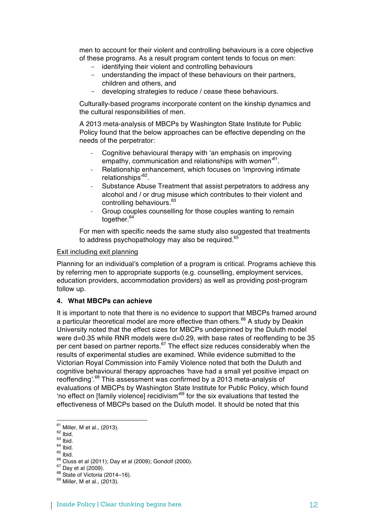men to account for their violent and controlling behaviours is a core objective of these programs. As a result program content tends to focus on men:

- identifying their violent and controlling behaviours
- understanding the impact of these behaviours on their partners, children and others, and
- developing strategies to reduce / cease these behaviours.

Culturally-based programs incorporate content on the kinship dynamics and the cultural responsibilities of men.

A 2013 meta-analysis of MBCPs by Washington State Institute for Public Policy found that the below approaches can be effective depending on the needs of the perpetrator:

- Cognitive behavioural therapy with 'an emphasis on improving empathy, communication and relationships with women<sup>'61</sup>.
- Relationship enhancement, which focuses on 'improving intimate relationships'62.
- Substance Abuse Treatment that assist perpetrators to address any alcohol and / or drug misuse which contributes to their violent and controlling behaviours.<sup>63</sup>
- Group couples counselling for those couples wanting to remain together.<sup>64</sup>

For men with specific needs the same study also suggested that treatments to address psychopathology may also be required.<sup>65</sup>

#### Exit including exit planning

Planning for an individual's completion of a program is critical. Programs achieve this by referring men to appropriate supports (e.g. counselling, employment services, education providers, accommodation providers) as well as providing post-program follow up.

# **4. What MBCPs can achieve**

It is important to note that there is no evidence to support that MBCPs framed around a particular theoretical model are more effective than others.<sup>66</sup> A study by Deakin University noted that the effect sizes for MBCPs underpinned by the Duluth model were d=0.35 while RNR models were d=0.29, with base rates of reoffending to be 35 per cent based on partner reports.<sup>67</sup> The effect size reduces considerably when the results of experimental studies are examined. While evidence submitted to the Victorian Royal Commission into Family Violence noted that both the Duluth and cognitive behavioural therapy approaches 'have had a small yet positive impact on reoffending'.<sup>68</sup> This assessment was confirmed by a 2013 meta-analysis of evaluations of MBCPs by Washington State Institute for Public Policy, which found 'no effect on [family violence] recidivism'69 for the six evaluations that tested the effectiveness of MBCPs based on the Duluth model. It should be noted that this

 

- 
- 

<sup>&</sup>lt;sup>61</sup> Miller, M et al., (2013).<br><sup>62</sup> Ibid.<br><sup>63</sup> Ibid.<br><sup>65</sup> Cluss et al (2011); Day et al (2009); Gondolf (2000).<br><sup>67</sup> Day et al (2009).<br><sup>68</sup> State of Victoria (2014–16).<br><sup>69</sup> Miller, M et al., (2013).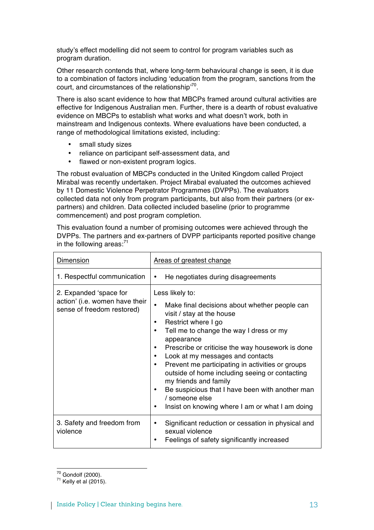study's effect modelling did not seem to control for program variables such as program duration.

Other research contends that, where long-term behavioural change is seen, it is due to a combination of factors including 'education from the program, sanctions from the court, and circumstances of the relationship<sup>70</sup>.

There is also scant evidence to how that MBCPs framed around cultural activities are effective for Indigenous Australian men. Further, there is a dearth of robust evaluative evidence on MBCPs to establish what works and what doesn't work, both in mainstream and Indigenous contexts. Where evaluations have been conducted, a range of methodological limitations existed, including:

- small study sizes
- reliance on participant self-assessment data, and
- flawed or non-existent program logics.

The robust evaluation of MBCPs conducted in the United Kingdom called Project Mirabal was recently undertaken. Project Mirabal evaluated the outcomes achieved by 11 Domestic Violence Perpetrator Programmes (DVPPs). The evaluators collected data not only from program participants, but also from their partners (or expartners) and children. Data collected included baseline (prior to programme commencement) and post program completion.

This evaluation found a number of promising outcomes were achieved through the DVPPs. The partners and ex-partners of DVPP participants reported positive change in the following areas: $71$ 

| Dimension                                                                              | <b>Areas of greatest change</b>                                                                                                                                                                                                                                                                                                                                                                                                                                                                                                                                                                              |
|----------------------------------------------------------------------------------------|--------------------------------------------------------------------------------------------------------------------------------------------------------------------------------------------------------------------------------------------------------------------------------------------------------------------------------------------------------------------------------------------------------------------------------------------------------------------------------------------------------------------------------------------------------------------------------------------------------------|
| 1. Respectful communication                                                            | He negotiates during disagreements<br>٠                                                                                                                                                                                                                                                                                                                                                                                                                                                                                                                                                                      |
| 2. Expanded 'space for<br>action' (i.e. women have their<br>sense of freedom restored) | Less likely to:<br>Make final decisions about whether people can<br>$\bullet$<br>visit / stay at the house<br>Restrict where I go<br>٠<br>Tell me to change the way I dress or my<br>$\bullet$<br>appearance<br>Prescribe or criticise the way housework is done<br>$\bullet$<br>Look at my messages and contacts<br>$\bullet$<br>Prevent me participating in activities or groups<br>$\bullet$<br>outside of home including seeing or contacting<br>my friends and family<br>Be suspicious that I have been with another man<br>٠<br>/ someone else<br>Insist on knowing where I am or what I am doing<br>٠ |
| 3. Safety and freedom from<br>violence                                                 | Significant reduction or cessation in physical and<br>٠<br>sexual violence<br>Feelings of safety significantly increased                                                                                                                                                                                                                                                                                                                                                                                                                                                                                     |

 $^{70}$  Gondolf (2000).<br> $^{71}$  Kelly et al (2015).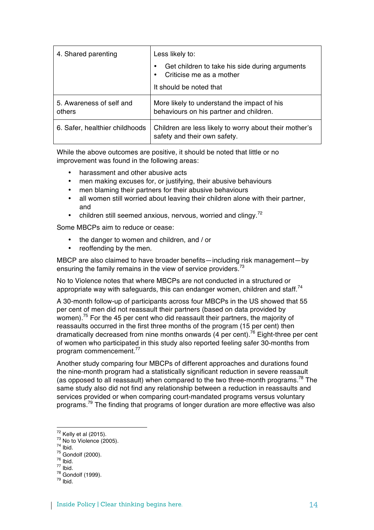| 4. Shared parenting                | Less likely to:                                                                                            |
|------------------------------------|------------------------------------------------------------------------------------------------------------|
|                                    | Get children to take his side during arguments<br>٠<br>Criticise me as a mother<br>It should be noted that |
| 5. Awareness of self and<br>others | More likely to understand the impact of his<br>behaviours on his partner and children.                     |
| 6. Safer, healthier childhoods     | Children are less likely to worry about their mother's<br>safety and their own safety.                     |

While the above outcomes are positive, it should be noted that little or no improvement was found in the following areas:

- 
- harassment and other abusive acts<br>• men making excuses for, or justifyir men making excuses for, or justifying, their abusive behaviours
- men blaming their partners for their abusive behaviours
- all women still worried about leaving their children alone with their partner, and
- children still seemed anxious, nervous, worried and clingy.<sup>72</sup>

Some MBCPs aim to reduce or cease:

- the danger to women and children, and / or
- reoffending by the men.

MBCP are also claimed to have broader benefits—including risk management—by ensuring the family remains in the view of service providers.<sup>73</sup>

No to Violence notes that where MBCPs are not conducted in a structured or appropriate way with safeguards, this can endanger women, children and staff.<sup>74</sup>

A 30-month follow-up of participants across four MBCPs in the US showed that 55 per cent of men did not reassault their partners (based on data provided by women).75 For the 45 per cent who did reassault their partners, the majority of reassaults occurred in the first three months of the program (15 per cent) then dramatically decreased from nine months onwards (4 per cent).<sup>76</sup> Eight-three per cent of women who participated in this study also reported feeling safer 30-months from program commencement. 77

Another study comparing four MBCPs of different approaches and durations found the nine-month program had a statistically significant reduction in severe reassault (as opposed to all reassault) when compared to the two three-month programs.<sup>78</sup> The same study also did not find any relationship between a reduction in reassaults and services provided or when comparing court-mandated programs versus voluntary programs.<sup>79</sup> The finding that programs of longer duration are more effective was also

<sup>&</sup>lt;sup>72</sup> Kelly et al (2015).<br><sup>73</sup> No to Violence (2005).<br><sup>74</sup> Ibid.<br><sup>75</sup> Gondolf (2000).<br><sup>76</sup> Ibid.<br><sup>77</sup> Ibid.<br><sup>78</sup> Gondolf (1999).<br><sup>79</sup> Ibid.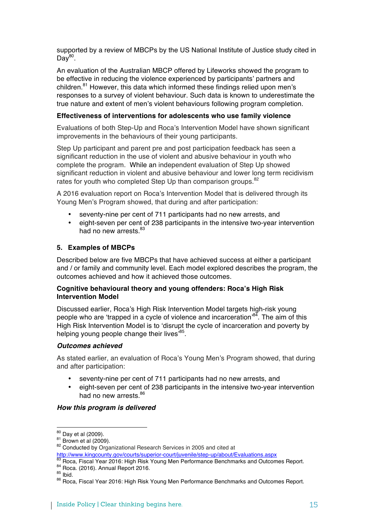supported by a review of MBCPs by the US National Institute of Justice study cited in  $Day<sup>80</sup>$ .

An evaluation of the Australian MBCP offered by Lifeworks showed the program to be effective in reducing the violence experienced by participants' partners and children.<sup>81</sup> However, this data which informed these findings relied upon men's responses to a survey of violent behaviour. Such data is known to underestimate the true nature and extent of men's violent behaviours following program completion.

#### **Effectiveness of interventions for adolescents who use family violence**

Evaluations of both Step-Up and Roca's Intervention Model have shown significant improvements in the behaviours of their young participants.

Step Up participant and parent pre and post participation feedback has seen a significant reduction in the use of violent and abusive behaviour in youth who complete the program. While an independent evaluation of Step Up showed significant reduction in violent and abusive behaviour and lower long term recidivism rates for youth who completed Step Up than comparison groups.<sup>82</sup>

A 2016 evaluation report on Roca's Intervention Model that is delivered through its Young Men's Program showed, that during and after participation:

- seventy-nine per cent of 711 participants had no new arrests, and
- eight-seven per cent of 238 participants in the intensive two-year intervention had no new arrests.<sup>83</sup>

#### **5. Examples of MBCPs**

Described below are five MBCPs that have achieved success at either a participant and / or family and community level. Each model explored describes the program, the outcomes achieved and how it achieved those outcomes.

# **Cognitive behavioural theory and young offenders: Roca's High Risk Intervention Model**

Discussed earlier, Roca's High Risk Intervention Model targets high-risk young people who are 'trapped in a cycle of violence and incarceration<sup>84</sup>. The aim of this High Risk Intervention Model is to 'disrupt the cycle of incarceration and poverty by helping young people change their lives<sup>85</sup>.

#### *Outcomes achieved*

As stated earlier, an evaluation of Roca's Young Men's Program showed, that during and after participation:

- seventy-nine per cent of 711 participants had no new arrests, and
- eight-seven per cent of 238 participants in the intensive two-year intervention had no new arrests.<sup>86</sup>

#### *How this program is delivered*

<sup>&</sup>lt;sup>80</sup> Day et al (2009).<br><sup>81</sup> Brown et al (2009).<br><sup>82</sup> Conducted by Organizational Research Services in 2005 and cited at<br>http://www.kingcounty.gov/courts/superior-court/juvenile/step-up/about/Evaluations.aspx

<sup>&</sup>lt;sup>83</sup> Roca, Fiscal Year 2016: High Risk Young Men Performance Benchmarks and Outcomes Report.<br><sup>84</sup> Roca. (2016). Annual Report 2016.<br><sup>85</sup> Ibid.<br><sup>86</sup> Roca, Fiscal Year 2016: High Risk Young Men Performance Benchmarks and Out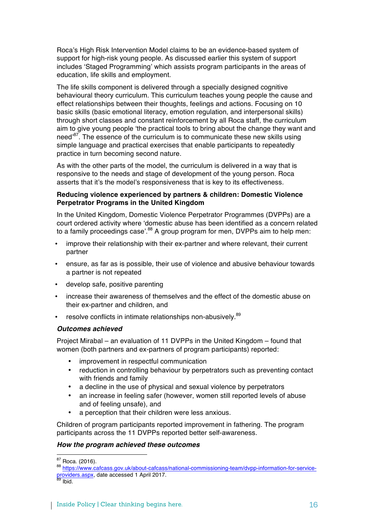Roca's High Risk Intervention Model claims to be an evidence-based system of support for high-risk young people. As discussed earlier this system of support includes 'Staged Programming' which assists program participants in the areas of education, life skills and employment.

The life skills component is delivered through a specially designed cognitive behavioural theory curriculum. This curriculum teaches young people the cause and effect relationships between their thoughts, feelings and actions. Focusing on 10 basic skills (basic emotional literacy, emotion regulation, and interpersonal skills) through short classes and constant reinforcement by all Roca staff, the curriculum aim to give young people 'the practical tools to bring about the change they want and need<sup>87</sup>. The essence of the curriculum is to communicate these new skills using simple language and practical exercises that enable participants to repeatedly practice in turn becoming second nature.

As with the other parts of the model, the curriculum is delivered in a way that is responsive to the needs and stage of development of the young person. Roca asserts that it's the model's responsiveness that is key to its effectiveness.

### **Reducing violence experienced by partners & children: Domestic Violence Perpetrator Programs in the United Kingdom**

In the United Kingdom, Domestic Violence Perpetrator Programmes (DVPPs) are a court ordered activity where 'domestic abuse has been identified as a concern related to a family proceedings case'.<sup>88</sup> A group program for men, DVPPs aim to help men:

- improve their relationship with their ex-partner and where relevant, their current partner
- ensure, as far as is possible, their use of violence and abusive behaviour towards a partner is not repeated
- develop safe, positive parenting
- increase their awareness of themselves and the effect of the domestic abuse on their ex-partner and children, and
- resolve conflicts in intimate relationships non-abusively.<sup>89</sup>

#### *Outcomes achieved*

Project Mirabal – an evaluation of 11 DVPPs in the United Kingdom – found that women (both partners and ex-partners of program participants) reported:

- improvement in respectful communication
- reduction in controlling behaviour by perpetrators such as preventing contact with friends and family
- a decline in the use of physical and sexual violence by perpetrators
- an increase in feeling safer (however, women still reported levels of abuse and of feeling unsafe), and
- a perception that their children were less anxious.

Children of program participants reported improvement in fathering. The program participants across the 11 DVPPs reported better self-awareness.

#### *How the program achieved these outcomes*

<sup>&</sup>lt;sup>87</sup> Roca. (2016).<br><sup>88</sup> https://www.ca<u>fcass.gov.uk/about-cafcass/national-commissioning-team/dvpp-information-for-service-</u> providers.aspx, date accessed 1 April 2017.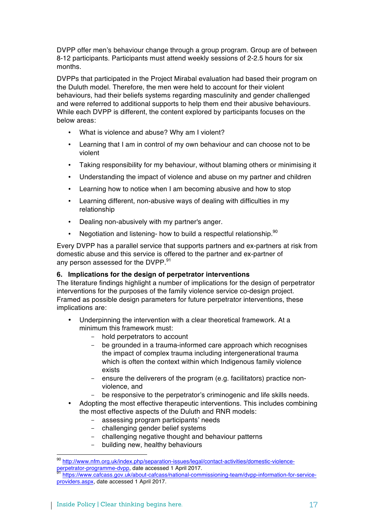DVPP offer men's behaviour change through a group program. Group are of between 8-12 participants. Participants must attend weekly sessions of 2-2.5 hours for six months.

DVPPs that participated in the Project Mirabal evaluation had based their program on the Duluth model. Therefore, the men were held to account for their violent behaviours, had their beliefs systems regarding masculinity and gender challenged and were referred to additional supports to help them end their abusive behaviours. While each DVPP is different, the content explored by participants focuses on the below areas:

- What is violence and abuse? Why am I violent?
- Learning that I am in control of my own behaviour and can choose not to be violent
- Taking responsibility for my behaviour, without blaming others or minimising it
- Understanding the impact of violence and abuse on my partner and children
- Learning how to notice when I am becoming abusive and how to stop
- Learning different, non-abusive ways of dealing with difficulties in my relationship
- Dealing non-abusively with my partner's anger.
- Negotiation and listening- how to build a respectful relationship.<sup>90</sup>

Every DVPP has a parallel service that supports partners and ex-partners at risk from domestic abuse and this service is offered to the partner and ex-partner of any person assessed for the DVPP.<sup>91</sup>

# **6. Implications for the design of perpetrator interventions**

The literature findings highlight a number of implications for the design of perpetrator interventions for the purposes of the family violence service co-design project. Framed as possible design parameters for future perpetrator interventions, these implications are:

- Underpinning the intervention with a clear theoretical framework. At a minimum this framework must:
	- hold perpetrators to account
	- be grounded in a trauma-informed care approach which recognises the impact of complex trauma including intergenerational trauma which is often the context within which Indigenous family violence exists
	- ensure the deliverers of the program (e.g. facilitators) practice nonviolence, and
	- be responsive to the perpetrator's criminogenic and life skills needs.
- Adopting the most effective therapeutic interventions. This includes combining the most effective aspects of the Duluth and RNR models:
	- assessing program participants' needs
	- challenging gender belief systems
	- challenging negative thought and behaviour patterns
	- building new, healthy behaviours

<sup>90</sup> http://www.nfm.org.uk/index.php/separation-issues/legal/contact-activities/domestic-violence-<br>perpetrator-programme-dvpp, date accessed 1 April 2017.

https://www.cafcass.gov.uk/about-cafcass/national-commissioning-team/dvpp-information-for-serviceproviders.aspx, date accessed 1 April 2017.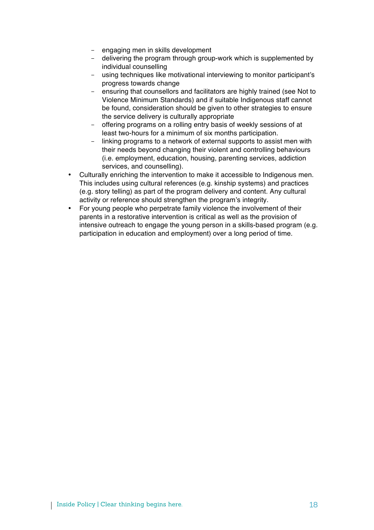- engaging men in skills development
- delivering the program through group-work which is supplemented by individual counselling
- using techniques like motivational interviewing to monitor participant's progress towards change
- ensuring that counsellors and facilitators are highly trained (see Not to Violence Minimum Standards) and if suitable Indigenous staff cannot be found, consideration should be given to other strategies to ensure the service delivery is culturally appropriate
- offering programs on a rolling entry basis of weekly sessions of at least two-hours for a minimum of six months participation.
- linking programs to a network of external supports to assist men with their needs beyond changing their violent and controlling behaviours (i.e. employment, education, housing, parenting services, addiction services, and counselling).
- Culturally enriching the intervention to make it accessible to Indigenous men. This includes using cultural references (e.g. kinship systems) and practices (e.g. story telling) as part of the program delivery and content. Any cultural activity or reference should strengthen the program's integrity.
- For young people who perpetrate family violence the involvement of their parents in a restorative intervention is critical as well as the provision of intensive outreach to engage the young person in a skills-based program (e.g. participation in education and employment) over a long period of time.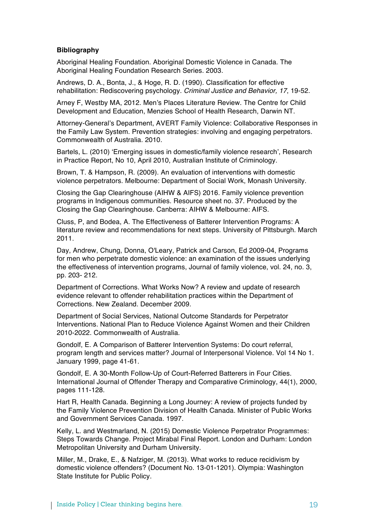## **Bibliography**

Aboriginal Healing Foundation. Aboriginal Domestic Violence in Canada. The Aboriginal Healing Foundation Research Series. 2003.

Andrews, D. A., Bonta, J., & Hoge, R. D. (1990). Classification for effective rehabilitation: Rediscovering psychology. *Criminal Justice and Behavior, 17*, 19-52.

Arney F, Westby MA, 2012. Men's Places Literature Review. The Centre for Child Development and Education, Menzies School of Health Research, Darwin NT.

Attorney-General's Department, AVERT Family Violence: Collaborative Responses in the Family Law System. Prevention strategies: involving and engaging perpetrators. Commonwealth of Australia. 2010.

Bartels, L. (2010) 'Emerging issues in domestic/family violence research', Research in Practice Report, No 10, April 2010, Australian Institute of Criminology.

Brown, T. & Hampson, R. (2009). An evaluation of interventions with domestic violence perpetrators. Melbourne: Department of Social Work, Monash University.

Closing the Gap Clearinghouse (AIHW & AIFS) 2016. Family violence prevention programs in Indigenous communities. Resource sheet no. 37. Produced by the Closing the Gap Clearinghouse. Canberra: AIHW & Melbourne: AIFS.

Cluss, P, and Bodea, A. The Effectiveness of Batterer Intervention Programs: A literature review and recommendations for next steps. University of Pittsburgh. March 2011.

Day, Andrew, Chung, Donna, O'Leary, Patrick and Carson, Ed 2009-04, Programs for men who perpetrate domestic violence: an examination of the issues underlying the effectiveness of intervention programs, Journal of family violence, vol. 24, no. 3, pp. 203- 212.

Department of Corrections. What Works Now? A review and update of research evidence relevant to offender rehabilitation practices within the Department of Corrections. New Zealand. December 2009.

Department of Social Services, National Outcome Standards for Perpetrator Interventions. National Plan to Reduce Violence Against Women and their Children 2010-2022. Commonwealth of Australia.

Gondolf, E. A Comparison of Batterer Intervention Systems: Do court referral, program length and services matter? Journal of Interpersonal Violence. Vol 14 No 1. January 1999, page 41-61.

Gondolf, E. A 30-Month Follow-Up of Court-Referred Batterers in Four Cities. International Journal of Offender Therapy and Comparative Criminology, 44(1), 2000, pages 111-128.

Hart R, Health Canada. Beginning a Long Journey: A review of projects funded by the Family Violence Prevention Division of Health Canada. Minister of Public Works and Government Services Canada. 1997.

Kelly, L. and Westmarland, N. (2015) Domestic Violence Perpetrator Programmes: Steps Towards Change. Project Mirabal Final Report. London and Durham: London Metropolitan University and Durham University.

Miller, M., Drake, E., & Nafziger, M. (2013). What works to reduce recidivism by domestic violence offenders? (Document No. 13-01-1201). Olympia: Washington State Institute for Public Policy.